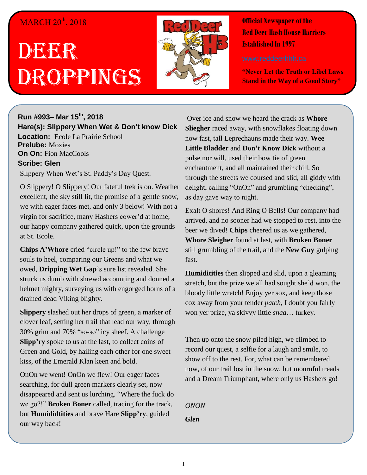## MARCH 20<sup>th</sup>, 2018

## DEER Droppings



**Official Newspaper of the Red Deer Hash House Harriers Established In 1997** 

**"Never Let the Truth or Libel Laws Stand in the Way of a Good Story"**

## **Run #993– Mar 15th, 2018 Hare(s): Slippery When Wet & Don't know Dick Location:** Ecole La Prairie School **Prelube:** Moxies **On On:** Fion MacCools **Scribe: Glen**

Slippery When Wet's St. Paddy's Day Quest.

O Slippery! O Slippery! Our fateful trek is on. Weather excellent, the sky still lit, the promise of a gentle snow, we with eager faces met, and only 3 below! With not a virgin for sacrifice, many Hashers cower'd at home, our happy company gathered quick, upon the grounds at St. Ecole.

**Chips A'Whore** cried "circle up!" to the few brave souls to heel, comparing our Greens and what we owed, **Dripping Wet Gap**'s sure list revealed. She struck us dumb with shrewd accounting and donned a helmet mighty, surveying us with engorged horns of a drained dead Viking blighty.

**Slippery** slashed out her drops of green, a marker of clover leaf, setting her trail that lead our way, through 30% grim and 70% "so-so" icy sheef. A challenge **Slipp'ry** spoke to us at the last, to collect coins of Green and Gold, by hailing each other for one sweet kiss, of the Emerald Klan keen and bold.

OnOn we went! OnOn we flew! Our eager faces searching, for dull green markers clearly set, now disappeared and sent us lurching. "Where the fuck do we go?!" **Broken Boner** called, tracing for the track, but **Humididtities** and brave Hare **Slipp'ry**, guided our way back!

Over ice and snow we heard the crack as **Whore Sliegher** raced away, with snowflakes floating down now fast, tall Leprechauns made their way. **Wee Little Bladder** and **Don't Know Dick** without a pulse nor will, used their bow tie of green enchantment, and all maintained their chill. So through the streets we coursed and slid, all giddy with delight, calling "OnOn" and grumbling "checking", as day gave way to night.

Exalt O shores! And Ring O Bells! Our company had arrived, and no sooner had we stopped to rest, into the beer we dived! **Chips** cheered us as we gathered, **Whore Sleigher** found at last, with **Broken Boner** still grumbling of the trail, and the **New Guy** gulping fast.

**Humiditities** then slipped and slid, upon a gleaming stretch, but the prize we all had sought she'd won, the bloody little wretch! Enjoy yer sox, and keep those cox away from your tender *patch*, I doubt you fairly won yer prize, ya skivvy little *snaa*… turkey.

Then up onto the snow piled high, we climbed to record our quest, a selfie for a laugh and smile, to show off to the rest. For, what can be remembered now, of our trail lost in the snow, but mournful treads and a Dream Triumphant, where only us Hashers go!

*ONON Glen*